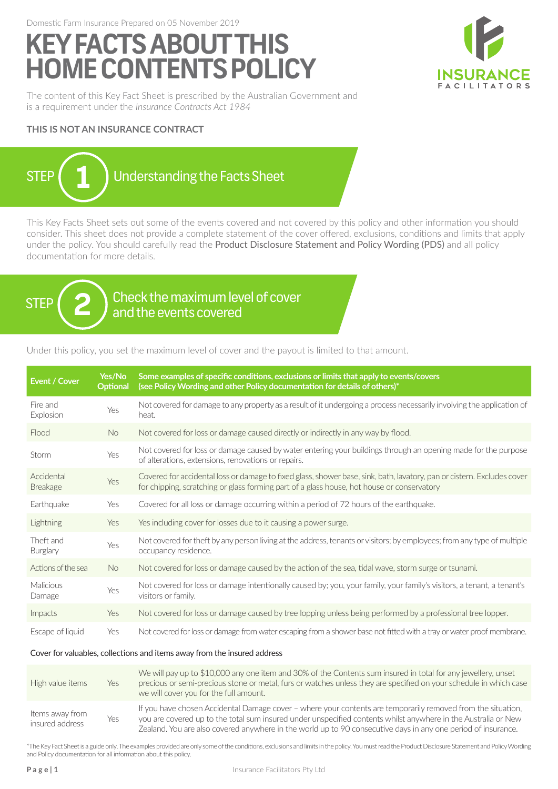Domestic Farm Insurance Prepared on 05 November 2019

# **KEY FACTS ABOUT THIS HOME CONTENTS POLICY**



The content of this Key Fact Sheet is prescribed by the Australian Government and is a requirement under the *Insurance Contracts Act 1984*

### **THIS IS NOT AN INSURANCE CONTRACT**



This Key Facts Sheet sets out some of the events covered and not covered by this policy and other information you should consider. This sheet does not provide a complete statement of the cover offered, exclusions, conditions and limits that apply under the policy. You should carefully read the Product Disclosure Statement and Policy Wording (PDS) and all policy documentation for more details.



STEP  $(2)$  check the maximum level of cover and the events covered

Under this policy, you set the maximum level of cover and the payout is limited to that amount.

| Event / Cover                                                            | Yes/No<br><b>Optional</b> | Some examples of specific conditions, exclusions or limits that apply to events/covers<br>(see Policy Wording and other Policy documentation for details of others)*                                                  |  |
|--------------------------------------------------------------------------|---------------------------|-----------------------------------------------------------------------------------------------------------------------------------------------------------------------------------------------------------------------|--|
| Fire and<br>Explosion                                                    | Yes                       | Not covered for damage to any property as a result of it undergoing a process necessarily involving the application of<br>heat.                                                                                       |  |
| Flood                                                                    | No.                       | Not covered for loss or damage caused directly or indirectly in any way by flood.                                                                                                                                     |  |
| Storm                                                                    | Yes                       | Not covered for loss or damage caused by water entering your buildings through an opening made for the purpose<br>of alterations, extensions, renovations or repairs.                                                 |  |
| Accidental<br><b>Breakage</b>                                            | Yes                       | Covered for accidental loss or damage to fixed glass, shower base, sink, bath, lavatory, pan or cistern. Excludes cover<br>for chipping, scratching or glass forming part of a glass house, hot house or conservatory |  |
| Earthquake                                                               | Yes                       | Covered for all loss or damage occurring within a period of 72 hours of the earthquake.                                                                                                                               |  |
| Lightning                                                                | Yes                       | Yes including cover for losses due to it causing a power surge.                                                                                                                                                       |  |
| Theft and<br>Burglary                                                    | Yes                       | Not covered for theft by any person living at the address, tenants or visitors; by employees; from any type of multiple<br>occupancy residence.                                                                       |  |
| Actions of the sea                                                       | <b>No</b>                 | Not covered for loss or damage caused by the action of the sea, tidal wave, storm surge or tsunami.                                                                                                                   |  |
| Malicious<br>Damage                                                      | Yes                       | Not covered for loss or damage intentionally caused by; you, your family, your family's visitors, a tenant, a tenant's<br>visitors or family.                                                                         |  |
| Impacts                                                                  | Yes                       | Not covered for loss or damage caused by tree lopping unless being performed by a professional tree lopper.                                                                                                           |  |
| Escape of liquid                                                         | Yes                       | Not covered for loss or damage from water escaping from a shower base not fitted with a tray or water proof membrane.                                                                                                 |  |
| Cover for valuables, collections and items away from the insured address |                           |                                                                                                                                                                                                                       |  |

| High value items                   | Yes | We will pay up to \$10,000 any one item and 30% of the Contents sum insured in total for any jewellery, unset<br>precious or semi-precious stone or metal, furs or watches unless they are specified on your schedule in which case<br>we will cover you for the full amount.                                                                   |
|------------------------------------|-----|-------------------------------------------------------------------------------------------------------------------------------------------------------------------------------------------------------------------------------------------------------------------------------------------------------------------------------------------------|
| Items away from<br>insured address | Yes | If you have chosen Accidental Damage cover - where your contents are temporarily removed from the situation,<br>you are covered up to the total sum insured under unspecified contents whilst anywhere in the Australia or New<br>Zealand. You are also covered anywhere in the world up to 90 consecutive days in any one period of insurance. |

\*The Key Fact Sheet is a guide only. The examples provided are only some of the conditions, exclusions and limits in the policy. You must read the Product Disclosure Statement and Policy Wording and Policy documentation for all information about this policy.